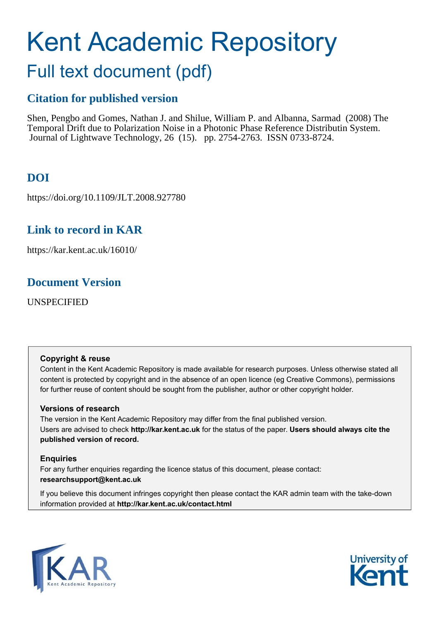# Kent Academic Repository

## Full text document (pdf)

## **Citation for published version**

Shen, Pengbo and Gomes, Nathan J. and Shilue, William P. and Albanna, Sarmad (2008) The Temporal Drift due to Polarization Noise in a Photonic Phase Reference Distributin System. Journal of Lightwave Technology, 26 (15). pp. 2754-2763. ISSN 0733-8724.

## **DOI**

https://doi.org/10.1109/JLT.2008.927780

## **Link to record in KAR**

https://kar.kent.ac.uk/16010/

## **Document Version**

UNSPECIFIED

### **Copyright & reuse**

Content in the Kent Academic Repository is made available for research purposes. Unless otherwise stated all content is protected by copyright and in the absence of an open licence (eg Creative Commons), permissions for further reuse of content should be sought from the publisher, author or other copyright holder.

### **Versions of research**

The version in the Kent Academic Repository may differ from the final published version. Users are advised to check **http://kar.kent.ac.uk** for the status of the paper. **Users should always cite the published version of record.**

### **Enquiries**

For any further enquiries regarding the licence status of this document, please contact: **researchsupport@kent.ac.uk**

If you believe this document infringes copyright then please contact the KAR admin team with the take-down information provided at **http://kar.kent.ac.uk/contact.html**



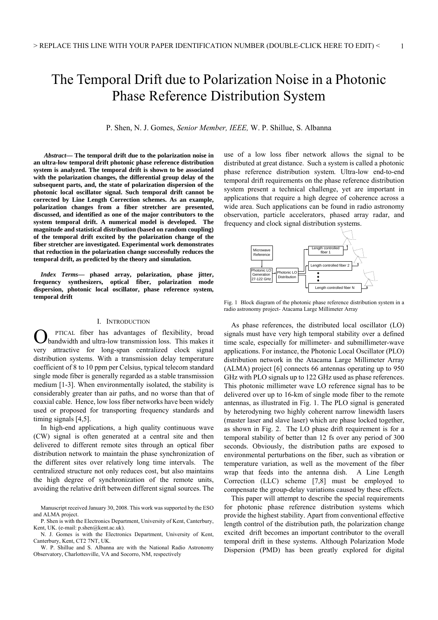## The Temporal Drift due to Polarization Noise in a Photonic Phase Reference Distribution System

P. Shen, N. J. Gomes, *Senior Member, IEEE,* W. P. Shillue, S. Albanna

 *Abstract***— The temporal drift due to the polarization noise in an ultra-low temporal drift photonic phase reference distribution system is analyzed. The temporal drift is shown to be associated with the polarization changes, the differential group delay of the subsequent parts, and, the state of polarization dispersion of the photonic local oscillator signal. Such temporal drift cannot be corrected by Line Length Correction schemes. As an example, polarization changes from a fiber stretcher are presented, discussed, and identified as one of the major contributors to the system temporal drift. A numerical model is developed. The magnitude and statistical distribution (based on random coupling) of the temporal drift excited by the polarization change of the fiber stretcher are investigated. Experimental work demonstrates that reduction in the polarization change successfully reduces the temporal drift, as predicted by the theory and simulation.** 

*Index Terms***— phased array, polarization, phase jitter, frequency synthesizers, optical fiber, polarization mode dispersion, photonic local oscillator, phase reference system, temporal drift** 

#### I. INTRODUCTION

PTICAL fiber has advantages of flexibility, broad bandwidth and ultra-low transmission loss. This makes it very attractive for long-span centralized clock signal distribution systems. With a transmission delay temperature coefficient of 8 to 10 ppm per Celsius, typical telecom standard single mode fiber is generally regarded as a stable transmission medium [1-3]. When environmentally isolated, the stability is considerably greater than air paths, and no worse than that of coaxial cable. Hence, low loss fiber networks have been widely used or proposed for transporting frequency standards and timing signals [4,5]. O

In high-end applications, a high quality continuous wave (CW) signal is often generated at a central site and then delivered to different remote sites through an optical fiber distribution network to maintain the phase synchronization of the different sites over relatively long time intervals. The centralized structure not only reduces cost, but also maintains the high degree of synchronization of the remote units, avoiding the relative drift between different signal sources. The

use of a low loss fiber network allows the signal to be distributed at great distance. Such a system is called a photonic phase reference distribution system. Ultra-low end-to-end temporal drift requirements on the phase reference distribution system present a technical challenge, yet are important in applications that require a high degree of coherence across a wide area. Such applications can be found in radio astronomy observation, particle accelerators, phased array radar, and frequency and clock signal distribution systems.



Fig. 1 Block diagram of the photonic phase reference distribution system in a radio astronomy project- Atacama Large Millimeter Array

As phase references, the distributed local oscillator (LO) signals must have very high temporal stability over a defined time scale, especially for millimeter- and submillimeter-wave applications. For instance, the Photonic Local Oscillator (PLO) distribution network in the Atacama Large Millimeter Array (ALMA) project [6] connects 66 antennas operating up to 950 GHz with PLO signals up to 122 GHz used as phase references. This photonic millimeter wave LO reference signal has to be delivered over up to 16-km of single mode fiber to the remote antennas, as illustrated in Fig. 1. The PLO signal is generated by heterodyning two highly coherent narrow linewidth lasers (master laser and slave laser) which are phase locked together, as shown in Fig. 2. The LO phase drift requirement is for a temporal stability of better than 12 fs over any period of 300 seconds. Obviously, the distribution paths are exposed to environmental perturbations on the fiber, such as vibration or temperature variation, as well as the movement of the fiber wrap that feeds into the antenna dish. A Line Length Correction (LLC) scheme [7,8] must be employed to compensate the group-delay variations caused by these effects.

This paper will attempt to describe the special requirements for photonic phase reference distribution systems which provide the highest stability. Apart from conventional effective length control of the distribution path, the polarization change excited drift becomes an important contributor to the overall temporal drift in these systems. Although Polarization Mode Dispersion (PMD) has been greatly explored for digital

Manuscript received January 30, 2008. This work was supported by the ESO and ALMA project.

P. Shen is with the Electronics Department, University of Kent, Canterbury, Kent, UK. (e-mail: p.shen@kent.ac.uk).

N. J. Gomes is with the Electronics Department, University of Kent, Canterbury, Kent, CT2 7NT, UK.

W. P. Shillue and S. Albanna are with the National Radio Astronomy Observatory, Charlottesville, VA and Socorro, NM, respectively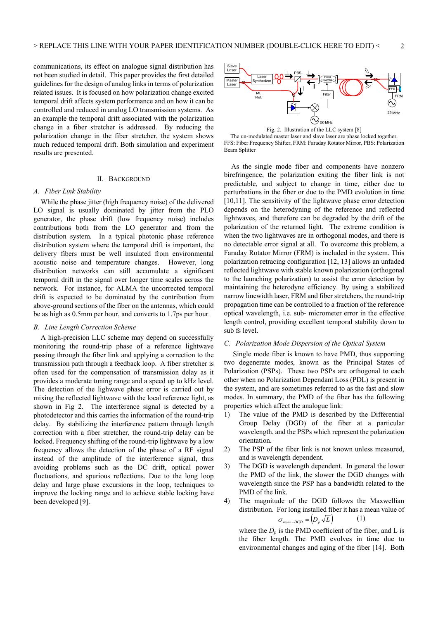communications, its effect on analogue signal distribution has not been studied in detail. This paper provides the first detailed guidelines for the design of analog links in terms of polarization related issues. It is focused on how polarization change excited temporal drift affects system performance and on how it can be controlled and reduced in analog LO transmission systems. As an example the temporal drift associated with the polarization change in a fiber stretcher is addressed. By reducing the polarization change in the fiber stretcher, the system shows much reduced temporal drift. Both simulation and experiment results are presented.

#### II. BACKGROUND

#### *A. Fiber Link Stability*

While the phase jitter (high frequency noise) of the delivered LO signal is usually dominated by jitter from the PLO generator, the phase drift (low frequency noise) includes contributions both from the LO generator and from the distribution system. In a typical photonic phase reference distribution system where the temporal drift is important, the delivery fibers must be well insulated from environmental acoustic noise and temperature changes. However, long distribution networks can still accumulate a significant temporal drift in the signal over longer time scales across the network. For instance, for ALMA the uncorrected temporal drift is expected to be dominated by the contribution from above-ground sections of the fiber on the antennas, which could be as high as 0.5mm per hour, and converts to 1.7ps per hour.

#### *B. Line Length Correction Scheme*

A high-precision LLC scheme may depend on successfully monitoring the round-trip phase of a reference lightwave passing through the fiber link and applying a correction to the transmission path through a feedback loop. A fiber stretcher is often used for the compensation of transmission delay as it provides a moderate tuning range and a speed up to kHz level. The detection of the lighwave phase error is carried out by mixing the reflected lightwave with the local reference light, as shown in Fig 2. The interference signal is detected by a photodetector and this carries the information of the round-trip delay. By stabilizing the interference pattern through length correction with a fiber stretcher, the round-trip delay can be locked. Frequency shifting of the round-trip lightwave by a low frequency allows the detection of the phase of a RF signal instead of the amplitude of the interference signal, thus avoiding problems such as the DC drift, optical power fluctuations, and spurious reflections. Due to the long loop delay and large phase excursions in the loop, techniques to improve the locking range and to achieve stable locking have been developed [9].





As the single mode fiber and components have nonzero birefringence, the polarization exiting the fiber link is not predictable, and subject to change in time, either due to perturbations in the fiber or due to the PMD evolution in time [10,11]. The sensitivity of the lightwave phase error detection depends on the heterodyning of the reference and reflected lightwaves, and therefore can be degraded by the drift of the polarization of the returned light. The extreme condition is when the two lightwaves are in orthogonal modes, and there is no detectable error signal at all. To overcome this problem, a Faraday Rotator Mirror (FRM) is included in the system. This polarization retracing configuration [12, 13] allows an unfaded reflected lightwave with stable known polarization (orthogonal to the launching polarization) to assist the error detection by maintaining the heterodyne efficiency. By using a stabilized narrow linewidth laser, FRM and fiber stretchers, the round-trip propagation time can be controlled to a fraction of the reference optical wavelength, i.e. sub- micrometer error in the effective length control, providing excellent temporal stability down to sub fs level.

#### *C. Polarization Mode Dispersion of the Optical System*

 Single mode fiber is known to have PMD, thus supporting two degenerate modes, known as the Principal States of Polarization (PSPs). These two PSPs are orthogonal to each other when no Polarization Dependant Loss (PDL) is present in the system, and are sometimes referred to as the fast and slow modes. In summary, the PMD of the fiber has the following properties which affect the analogue link:

- 1) The value of the PMD is described by the Differential Group Delay (DGD) of the fiber at a particular wavelength, and the PSPs which represent the polarization orientation.
- 2) The PSP of the fiber link is not known unless measured, and is wavelength dependent.
- 3) The DGD is wavelength dependent. In general the lower the PMD of the link, the slower the DGD changes with wavelength since the PSP has a bandwidth related to the PMD of the link.
- 4) The magnitude of the DGD follows the Maxwellian distribution. For long installed fiber it has a mean value of  $\sigma_{mean- DGD} = (D_p \sqrt{L})$ (1)

where the  $D_p$  is the PMD coefficient of the fiber, and L is the fiber length. The PMD evolves in time due to environmental changes and aging of the fiber [14]. Both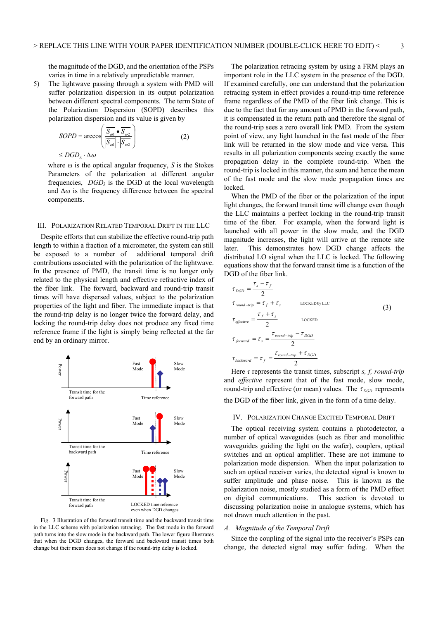the magnitude of the DGD, and the orientation of the PSPs varies in time in a relatively unpredictable manner.

5) The lightwave passing through a system with PMD will suffer polarization dispersion in its output polarization between different spectral components. The term State of the Polarization Dispersion (SOPD) describes this polarization dispersion and its value is given by

$$
SOPD = \arccos\left(\frac{\overline{S_{\omega 1}} \bullet \overline{S_{\omega 2}}}{|\overline{S_{\omega 1}}| \cdot |\overline{S_{\omega 2}}|}\right) \tag{2}
$$

 $\leq$ *DGD*<sub> $\lambda$ </sub>  $\cdot$   $\Delta \omega$ 

where  $\omega$  is the optical angular frequency, *S* is the Stokes Parameters of the polarization at different angular frequencies,  $DGD_\lambda$  is the DGD at the local wavelength and  $\Delta\omega$  is the frequency difference between the spectral components.

#### III. POLARIZATION RELATED TEMPORAL DRIFT IN THE LLC

Despite efforts that can stabilize the effective round-trip path length to within a fraction of a micrometer, the system can still be exposed to a number of additional temporal drift contributions associated with the polarization of the lightwave. In the presence of PMD, the transit time is no longer only related to the physical length and effective refractive index of the fiber link. The forward, backward and round-trip transit times will have dispersed values, subject to the polarization properties of the light and fiber. The immediate impact is that the round-trip delay is no longer twice the forward delay, and locking the round-trip delay does not produce any fixed time reference frame if the light is simply being reflected at the far end by an ordinary mirror.



Fig. 3 Illustration of the forward transit time and the backward transit time in the LLC scheme with polarization retracing. The fast mode in the forward path turns into the slow mode in the backward path. The lower figure illustrates that when the DGD changes, the forward and backward transit times both change but their mean does not change if the round-trip delay is locked.

The polarization retracing system by using a FRM plays an important role in the LLC system in the presence of the DGD. If examined carefully, one can understand that the polarization retracing system in effect provides a round-trip time reference frame regardless of the PMD of the fiber link change. This is due to the fact that for any amount of PMD in the forward path, it is compensated in the return path and therefore the signal of the round-trip sees a zero overall link PMD. From the system point of view, any light launched in the fast mode of the fiber link will be returned in the slow mode and vice versa. This results in all polarization components seeing exactly the same propagation delay in the complete round-trip. When the round-trip is locked in this manner, the sum and hence the mean of the fast mode and the slow mode propagation times are locked.

When the PMD of the fiber or the polarization of the input light changes, the forward transit time will change even though the LLC maintains a perfect locking in the round-trip transit time of the fiber. For example, when the forward light is launched with all power in the slow mode, and the DGD magnitude increases, the light will arrive at the remote site later. This demonstrates how DGD change affects the distributed LO signal when the LLC is locked. The following equations show that the forward transit time is a function of the DGD of the fiber link.

$$
\tau_{DGD} = \frac{\tau_s - \tau_f}{2}
$$
\n
$$
\tau_{round-trip} = \tau_f + \tau_s
$$
\n
$$
\tau_{effective} = \frac{\tau_f + \tau_s}{2}
$$
\n
$$
\tau_{effective} = \tau_s = \frac{\tau_{round-trip} - \tau_{DGD}}{2}
$$
\n
$$
\tau_{forward} = \tau_s = \frac{\tau_{round-trip} - \tau_{DGD}}{2}
$$
\n
$$
\tau_{backward} = \tau_f = \frac{\tau_{round-trip} + \tau_{DGD}}{2}
$$

Here  $\tau$  represents the transit times, subscript  $s$ ,  $f$ , round-trip and *effective* represent that of the fast mode, slow mode, round-trip and effective (or mean) values. The  $\tau_{DGD}$  represents the DGD of the fiber link, given in the form of a time delay.

#### IV. POLARIZATION CHANGE EXCITED TEMPORAL DRIFT

The optical receiving system contains a photodetector, a number of optical waveguides (such as fiber and monolithic waveguides guiding the light on the wafer), couplers, optical switches and an optical amplifier. These are not immune to polarization mode dispersion. When the input polarization to such an optical receiver varies, the detected signal is known to suffer amplitude and phase noise. This is known as the polarization noise, mostly studied as a form of the PMD effect on digital communications. This section is devoted to discussing polarization noise in analogue systems, which has not drawn much attention in the past.

#### *A. Magnitude of the Temporal Drift*

Since the coupling of the signal into the receiver's PSPs can change, the detected signal may suffer fading. When the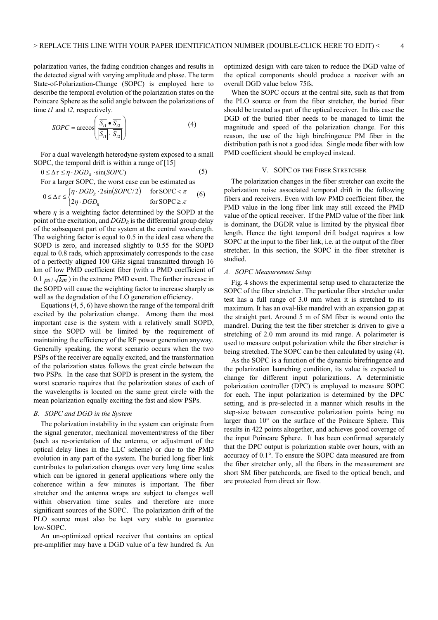polarization varies, the fading condition changes and results in the detected signal with varying amplitude and phase. The term State-of-Polarization-Change (SOPC) is employed here to describe the temporal evolution of the polarization states on the Poincare Sphere as the solid angle between the polarizations of time *t1* and *t2*, respectively.

$$
SOPC = \arccos\left(\frac{\overline{S_{i1}} \bullet \overline{S_{i2}}}{|\overline{S_{i1}}| \cdot |\overline{S_{i2}}|}\right)
$$
(4)

For a dual wavelength heterodyne system exposed to a small SOPC, the temporal drift is within a range of [15]

$$
0 \le \Delta \tau \le \eta \cdot DGD_R \cdot \sin(SOPC) \tag{5}
$$

For a larger SOPC, the worst case can be estimated as

$$
0 \le \Delta \tau \le \begin{cases} \eta \cdot DGD_R \cdot 2\sin(SOPC/2) & \text{for } \text{SOPC} < \pi \\ 2\eta \cdot DGD_R & \text{for } \text{SOPC} \ge \pi \end{cases} \tag{6}
$$

where  $\eta$  is a weighting factor determined by the SOPD at the point of the excitation, and *DGDR* is the differential group delay of the subsequent part of the system at the central wavelength. The weighting factor is equal to 0.5 in the ideal case where the SOPD is zero, and increased slightly to 0.55 for the SOPD equal to 0.8 rads, which approximately corresponds to the case of a perfectly aligned 100 GHz signal transmitted through 16 km of low PMD coefficient fiber (with a PMD coefficient of 0.1  $p_s / \sqrt{km}$ ) in the extreme PMD event. The further increase in the SOPD will cause the weighting factor to increase sharply as well as the degradation of the LO generation efficiency.

Equations (4, 5, 6) have shown the range of the temporal drift excited by the polarization change. Among them the most important case is the system with a relatively small SOPD, since the SOPD will be limited by the requirement of maintaining the efficiency of the RF power generation anyway. Generally speaking, the worst scenario occurs when the two PSPs of the receiver are equally excited, and the transformation of the polarization states follows the great circle between the two PSPs. In the case that SOPD is present in the system, the worst scenario requires that the polarization states of each of the wavelengths is located on the same great circle with the mean polarization equally exciting the fast and slow PSPs.

#### *B. SOPC and DGD in the System*

The polarization instability in the system can originate from the signal generator, mechanical movement/stress of the fiber (such as re-orientation of the antenna, or adjustment of the optical delay lines in the LLC scheme) or due to the PMD evolution in any part of the system. The buried long fiber link contributes to polarization changes over very long time scales which can be ignored in general applications where only the coherence within a few minutes is important. The fiber stretcher and the antenna wraps are subject to changes well within observation time scales and therefore are more significant sources of the SOPC. The polarization drift of the PLO source must also be kept very stable to guarantee low-SOPC.

An un-optimized optical receiver that contains an optical pre-amplifier may have a DGD value of a few hundred fs. An

optimized design with care taken to reduce the DGD value of the optical components should produce a receiver with an overall DGD value below 75fs.

When the SOPC occurs at the central site, such as that from the PLO source or from the fiber stretcher, the buried fiber should be treated as part of the optical receiver. In this case the DGD of the buried fiber needs to be managed to limit the magnitude and speed of the polarization change. For this reason, the use of the high birefringence PM fiber in the distribution path is not a good idea. Single mode fiber with low PMD coefficient should be employed instead.

#### V. SOPC OF THE FIBER STRETCHER

The polarization changes in the fiber stretcher can excite the polarization noise associated temporal drift in the following fibers and receivers. Even with low PMD coefficient fiber, the PMD value in the long fiber link may still exceed the PMD value of the optical receiver. If the PMD value of the fiber link is dominant, the DGDR value is limited by the physical fiber length. Hence the tight temporal drift budget requires a low SOPC at the input to the fiber link, i.e. at the output of the fiber stretcher. In this section, the SOPC in the fiber stretcher is studied.

#### *A. SOPC Measurement Setup*

Fig. 4 shows the experimental setup used to characterize the SOPC of the fiber stretcher. The particular fiber stretcher under test has a full range of 3.0 mm when it is stretched to its maximum. It has an oval-like mandrel with an expansion gap at the straight part. Around 5 m of SM fiber is wound onto the mandrel. During the test the fiber stretcher is driven to give a stretching of 2.0 mm around its mid range. A polarimeter is used to measure output polarization while the fiber stretcher is being stretched. The SOPC can be then calculated by using (4).

As the SOPC is a function of the dynamic birefringence and the polarization launching condition, its value is expected to change for different input polarizations. A deterministic polarization controller (DPC) is employed to measure SOPC for each. The input polarization is determined by the DPC setting, and is pre-selected in a manner which results in the step-size between consecutive polarization points being no larger than 10° on the surface of the Poincare Sphere. This results in 422 points altogether, and achieves good coverage of the input Poincare Sphere. It has been confirmed separately that the DPC output is polarization stable over hours, with an accuracy of 0.1°. To ensure the SOPC data measured are from the fiber stretcher only, all the fibers in the measurement are short SM fiber patchcords, are fixed to the optical bench, and are protected from direct air flow.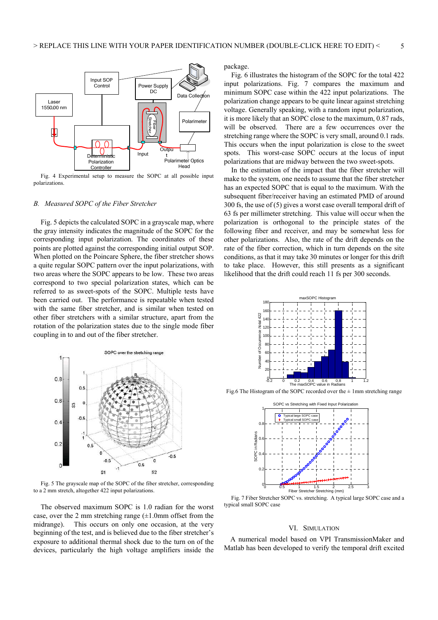

Fig. 4 Experimental setup to measure the SOPC at all possible input polarizations.

#### *B. Measured SOPC of the Fiber Stretcher*

Fig. 5 depicts the calculated SOPC in a grayscale map, where the gray intensity indicates the magnitude of the SOPC for the corresponding input polarization. The coordinates of these points are plotted against the corresponding initial output SOP. When plotted on the Poincare Sphere, the fiber stretcher shows a quite regular SOPC pattern over the input polarizations, with two areas where the SOPC appears to be low. These two areas correspond to two special polarization states, which can be referred to as sweet-spots of the SOPC. Multiple tests have been carried out. The performance is repeatable when tested with the same fiber stretcher, and is similar when tested on other fiber stretchers with a similar structure, apart from the rotation of the polarization states due to the single mode fiber coupling in to and out of the fiber stretcher.



Fig. 5 The grayscale map of the SOPC of the fiber stretcher, corresponding to a 2 mm stretch, altogether 422 input polarizations.

The observed maximum SOPC is 1.0 radian for the worst case, over the 2 mm stretching range  $(\pm 1.0$ mm offset from the midrange). This occurs on only one occasion, at the very beginning of the test, and is believed due to the fiber stretcher's exposure to additional thermal shock due to the turn on of the devices, particularly the high voltage amplifiers inside the package.

Fig. 6 illustrates the histogram of the SOPC for the total 422 input polarizations. Fig. 7 compares the maximum and minimum SOPC case within the 422 input polarizations. The polarization change appears to be quite linear against stretching voltage. Generally speaking, with a random input polarization, it is more likely that an SOPC close to the maximum, 0.87 rads, will be observed. There are a few occurrences over the stretching range where the SOPC is very small, around 0.1 rads. This occurs when the input polarization is close to the sweet spots. This worst-case SOPC occurs at the locus of input polarizations that are midway between the two sweet-spots.

In the estimation of the impact that the fiber stretcher will make to the system, one needs to assume that the fiber stretcher has an expected SOPC that is equal to the maximum. With the subsequent fiber/receiver having an estimated PMD of around 300 fs, the use of (5) gives a worst case overall temporal drift of 63 fs per millimeter stretching. This value will occur when the polarization is orthogonal to the principle states of the following fiber and receiver, and may be somewhat less for other polarizations. Also, the rate of the drift depends on the rate of the fiber correction, which in turn depends on the site conditions, as that it may take 30 minutes or longer for this drift to take place. However, this still presents as a significant likelihood that the drift could reach 11 fs per 300 seconds.



Fig.6 The Histogram of the SOPC recorded over the  $\pm$  1mm stretching range



Fig. 7 Fiber Stretcher SOPC vs. stretching. A typical large SOPC case and a typical small SOPC case

#### VI. SIMULATION

A numerical model based on VPI TransmissionMaker and Matlab has been developed to verify the temporal drift excited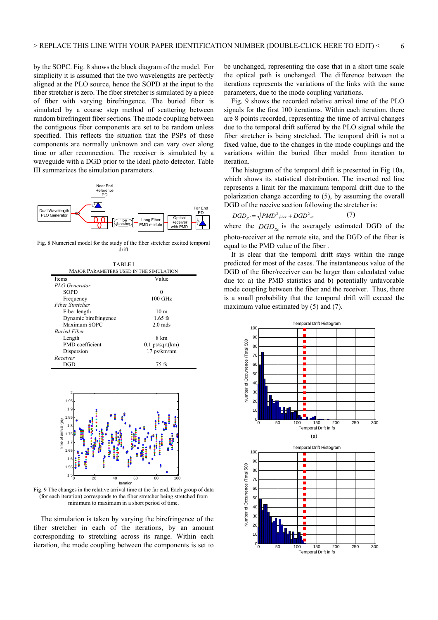by the SOPC. Fig. 8 shows the block diagram of the model. For simplicity it is assumed that the two wavelengths are perfectly aligned at the PLO source, hence the SOPD at the input to the fiber stretcher is zero. The fiber stretcher is simulated by a piece of fiber with varying birefringence. The buried fiber is simulated by a coarse step method of scattering between random birefringent fiber sections. The mode coupling between the contiguous fiber components are set to be random unless specified. This reflects the situation that the PSPs of these components are normally unknown and can vary over along time or after reconnection. The receiver is simulated by a waveguide with a DGD prior to the ideal photo detector. Table III summarizes the simulation parameters.



Fig. 8 Numerical model for the study of the fiber stretcher excited temporal drift

| TABLEI                                         |                   |
|------------------------------------------------|-------------------|
| <b>MAJOR PARAMETERS USED IN THE SIMULATION</b> |                   |
| <b>Items</b>                                   | Value             |
| PLO Generator                                  |                   |
| <b>SOPD</b>                                    | 0                 |
| Frequency                                      | $100$ GHz         |
| <b>Fiber Stretcher</b>                         |                   |
| Fiber length                                   | 10 <sub>m</sub>   |
| Dynamic birefringence                          | 1.65 fs           |
| Maximum SOPC                                   | $2.0$ rads        |
| <b>Buried Fiber</b>                            |                   |
| Length                                         | 8 km              |
| PMD coefficient                                | $0.1$ ps/sqrt(km) |
| Dispersion                                     | $17$ ps/km/nm     |
| Receiver                                       |                   |
| DGD                                            | 75 fs             |



Fig. 9 The changes in the relative arrival time at the far end. Each group of data (for each iteration) corresponds to the fiber stretcher being stretched from minimum to maximum in a short period of time.

The simulation is taken by varying the birefringence of the fiber stretcher in each of the iterations, by an amount corresponding to stretching across its range. Within each iteration, the mode coupling between the components is set to be unchanged, representing the case that in a short time scale the optical path is unchanged. The difference between the iterations represents the variations of the links with the same parameters, due to the mode coupling variations.

Fig. 9 shows the recorded relative arrival time of the PLO signals for the first 100 iterations. Within each iteration, there are 8 points recorded, representing the time of arrival changes due to the temporal drift suffered by the PLO signal while the fiber stretcher is being stretched. The temporal drift is not a fixed value, due to the changes in the mode couplings and the variations within the buried fiber model from iteration to iteration.

The histogram of the temporal drift is presented in Fig 10a, which shows its statistical distribution. The inserted red line represents a limit for the maximum temporal drift due to the polarization change according to (5), by assuming the overall DGD of the receive section following the stretcher is:

$$
DGD_{R} = \sqrt{PMD^2_{fiber} + DGD^2_{Re}} \tag{7}
$$

where the  $DGD_{Rc}$  is the averagely estimated DGD of the photo-receiver at the remote site, and the DGD of the fiber is equal to the PMD value of the fiber .

It is clear that the temporal drift stays within the range predicted for most of the cases. The instantaneous value of the DGD of the fiber/receiver can be larger than calculated value due to: a) the PMD statistics and b) potentially unfavorable mode coupling between the fiber and the receiver. Thus, there is a small probability that the temporal drift will exceed the maximum value estimated by (5) and (7).

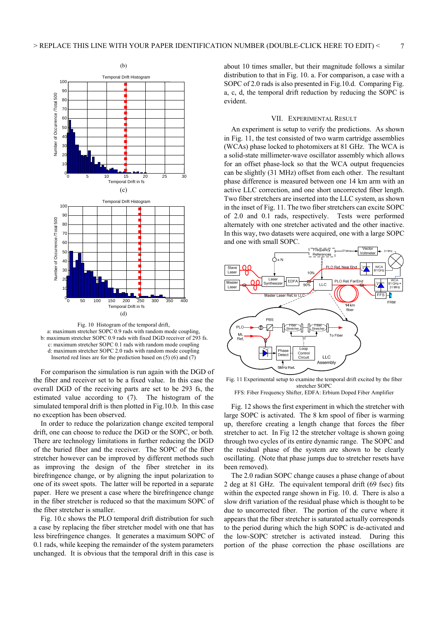

Fig. 10 Histogram of the temporal drift, a: maximum stretcher SOPC 0.9 rads with random mode coupling, b: maximum stretcher SOPC 0.9 rads with fixed DGD receiver of 293 fs. c: maximum stretcher SOPC 0.1 rads with random mode coupling d: maximum stretcher SOPC 2.0 rads with random mode coupling Inserted red lines are for the prediction based on  $(5)$  (6) and  $(7)$ 

For comparison the simulation is run again with the DGD of the fiber and receiver set to be a fixed value. In this case the overall DGD of the receiving parts are set to be 293 fs, the estimated value according to (7). The histogram of the simulated temporal drift is then plotted in Fig.10.b. In this case no exception has been observed.

In order to reduce the polarization change excited temporal drift, one can choose to reduce the DGD or the SOPC, or both. There are technology limitations in further reducing the DGD of the buried fiber and the receiver. The SOPC of the fiber stretcher however can be improved by different methods such as improving the design of the fiber stretcher in its birefringence change, or by aligning the input polarization to one of its sweet spots. The latter will be reported in a separate paper. Here we present a case where the birefringence change in the fiber stretcher is reduced so that the maximum SOPC of the fiber stretcher is smaller.

Fig. 10.c shows the PLO temporal drift distribution for such a case by replacing the fiber stretcher model with one that has less birefringence changes. It generates a maximum SOPC of 0.1 rads, while keeping the remainder of the system parameters unchanged. It is obvious that the temporal drift in this case is

about 10 times smaller, but their magnitude follows a similar distribution to that in Fig. 10. a. For comparison, a case with a SOPC of 2.0 rads is also presented in Fig.10.d. Comparing Fig. a, c, d, the temporal drift reduction by reducing the SOPC is evident.

#### VII. EXPERIMENTAL RESULT

An experiment is setup to verify the predictions. As shown in Fig. 11, the test consisted of two warm cartridge assemblies (WCAs) phase locked to photomixers at 81 GHz. The WCA is a solid-state millimeter-wave oscillator assembly which allows for an offset phase-lock so that the WCA output frequencies can be slightly (31 MHz) offset from each other. The resultant phase difference is measured between one 14 km arm with an active LLC correction, and one short uncorrected fiber length. Two fiber stretchers are inserted into the LLC system, as shown in the inset of Fig. 11. The two fiber stretchers can excite SOPC of 2.0 and 0.1 rads, respectively. Tests were performed alternately with one stretcher activated and the other inactive. In this way, two datasets were acquired, one with a large SOPC and one with small SOPC.



Fig. 11 Experimental setup to examine the temporal drift excited by the fiber stretcher SOPC

FFS: Fiber Frequency Shifter, EDFA: Erbium Doped Fiber Amplifier

Fig. 12 shows the first experiment in which the stretcher with large SOPC is activated. The 8 km spool of fiber is warming up, therefore creating a length change that forces the fiber stretcher to act. In Fig 12 the stretcher voltage is shown going through two cycles of its entire dynamic range. The SOPC and the residual phase of the system are shown to be clearly oscillating. (Note that phase jumps due to stretcher resets have been removed).

The 2.0 radian SOPC change causes a phase change of about 2 deg at 81 GHz. The equivalent temporal drift (69 fsec) fits within the expected range shown in Fig. 10. d. There is also a slow drift variation of the residual phase which is thought to be due to uncorrected fiber. The portion of the curve where it appears that the fiber stretcher is saturated actually corresponds to the period during which the high SOPC is de-activated and the low-SOPC stretcher is activated instead. During this portion of the phase correction the phase oscillations are